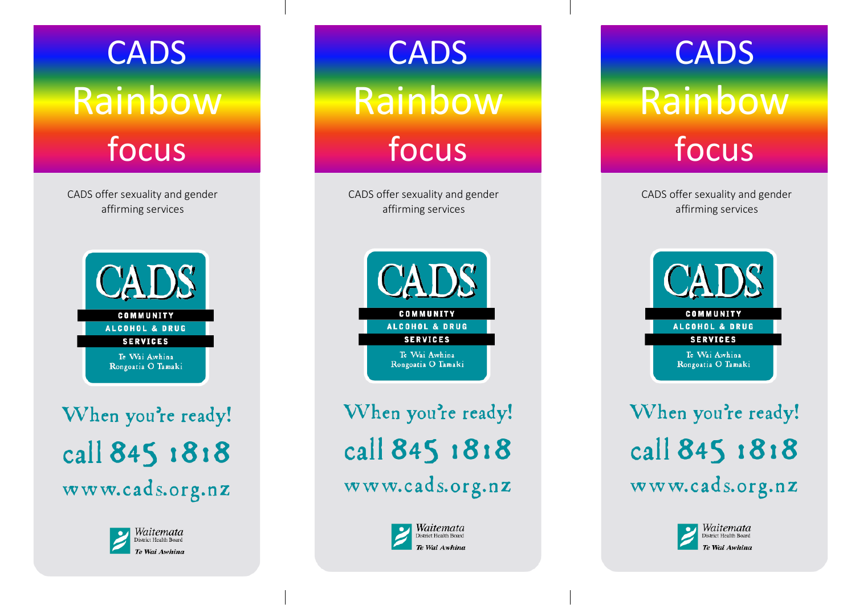**CADS** Rainbow focus

CADS offer sexuality and gender affirming service s



When you're ready! call 845 1818 www.cads.org.nz



**CADS** Rainbow focus

CADS offer sexuality and gender affirming service s



When you're ready! call 845 1818 www.cads.org.nz



## Getting Started Rainbow **CADS** focus

CADS offer sexuality and gender affirming service s



When you're ready! call 845 1818 www.cads.org.nz